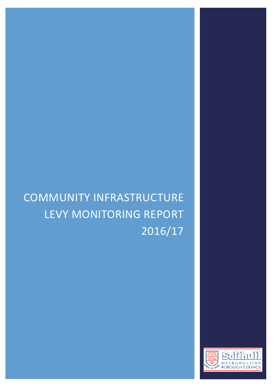# COMMUNITY INFRASTRUCTURE LEVY MONITORING REPORT 2016/17

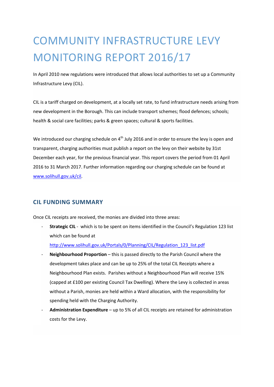## COMMUNITY INFRASTRUCTURE LEVY MONITORING REPORT 2016/17

In April 2010 new regulations were introduced that allows local authorities to set up a Community Infrastructure Levy (CIL).

CIL is a tariff charged on development, at a locally set rate, to fund infrastructure needs arising from new development in the Borough. This can include transport schemes; flood defences; schools; health & social care facilities; parks & green spaces; cultural & sports facilities.

We introduced our charging schedule on 4<sup>th</sup> July 2016 and in order to ensure the levy is open and transparent, charging authorities must publish a report on the levy on their website by 31st December each year, for the previous financial year. This report covers the period from 01 April 2016 to 31 March 2017. Further information regarding our charging schedule can be found at [www.solihull.gov.uk/cil.](http://www.solihull.gov.uk/cil)

#### **CIL FUNDING SUMMARY**

Once CIL receipts are received, the monies are divided into three areas:

- **Strategic CIL** - which is to be spent on items identified in the Council's Regulation 123 list which can be found at

[http://www.solihull.gov.uk/Portals/0/Planning/CIL/Regulation\\_123\\_list.pdf](http://www.solihull.gov.uk/Portals/0/Planning/CIL/Regulation_123_list.pdf)

- Neighbourhood Proportion this is passed directly to the Parish Council where the development takes place and can be up to 25% of the total CIL Receipts where a Neighbourhood Plan exists. Parishes without a Neighbourhood Plan will receive 15% (capped at £100 per existing Council Tax Dwelling). Where the Levy is collected in areas without a Parish, monies are held within a Ward allocation, with the responsibility for spending held with the Charging Authority.
- **Administration Expenditure** up to 5% of all CIL receipts are retained for administration costs for the Levy.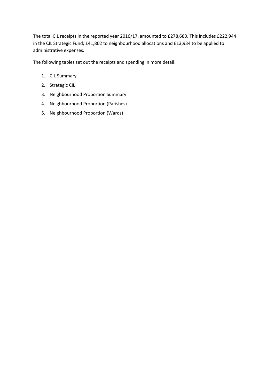The total CIL receipts in the reported year 2016/17, amounted to £278,680. This includes £222,944 in the CIL Strategic Fund; £41,802 to neighbourhood allocations and £13,934 to be applied to administrative expenses.

The following tables set out the receipts and spending in more detail:

- 1. CIL Summary
- 2. Strategic CIL
- 3. Neighbourhood Proportion Summary
- 4. Neighbourhood Proportion (Parishes)
- 5. Neighbourhood Proportion (Wards)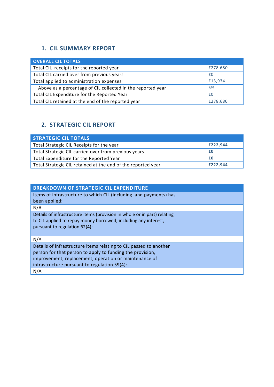### **1. CIL SUMMARY REPORT**

| <b>OVERALL CIL TOTALS</b>                                   |          |
|-------------------------------------------------------------|----------|
| Total CIL receipts for the reported year                    | £278,680 |
| Total CIL carried over from previous years                  | £0       |
| Total applied to administration expenses                    | £13,934  |
| Above as a percentage of CIL collected in the reported year | 5%       |
| Total CIL Expenditure for the Reported Year                 | f0       |
| Total CIL retained at the end of the reported year          | £278,680 |

#### **2. STRATEGIC CIL REPORT**

| <b>STRATEGIC CIL TOTALS</b>                                  |          |
|--------------------------------------------------------------|----------|
| Total Strategic CIL Receipts for the year                    | £222,944 |
| Total Strategic CIL carried over from previous years         | £Ο       |
| Total Expenditure for the Reported Year                      | £Ο       |
| Total Strategic CIL retained at the end of the reported year | £222.944 |

| <b>BREAKDOWN OF STRATEGIC CIL EXPENDITURE</b>                            |
|--------------------------------------------------------------------------|
| Items of infrastructure to which CIL (including land payments) has       |
| been applied:                                                            |
| N/A                                                                      |
| Details of infrastructure items (provision in whole or in part) relating |
| to CIL applied to repay money borrowed, including any interest,          |
| pursuant to regulation 62(4):                                            |
|                                                                          |
| N/A                                                                      |
| Details of infrastructure items relating to CIL passed to another        |
| person for that person to apply to funding the provision,                |
| improvement, replacement, operation or maintenance of                    |
| infrastructure pursuant to regulation 59(4):                             |
| N/A                                                                      |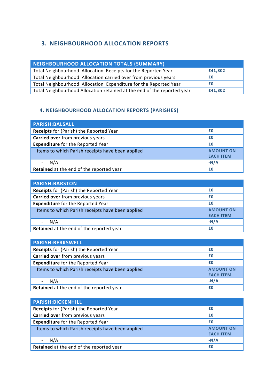#### **3. NEIGHBOURHOOD ALLOCATION REPORTS**

| NEIGHBOURHOOD ALLOCATION TOTALS (SUMMARY)                               |         |
|-------------------------------------------------------------------------|---------|
| Total Neighbourhood Allocation Receipts for the Reported Year           | £41,802 |
| Total Neighbourhood Allocation carried over from previous years         |         |
| Total Neighbourhood Allocation Expenditure for the Reported Year        | £Ο      |
| Total Neighbourhood Allocation retained at the end of the reported year | £41,802 |

#### **4. 4. NEIGHBOURHOOD ALLOCATION REPORTS (PARISHES)**

| <b>PARISH:BALSALL</b>                            |                                      |
|--------------------------------------------------|--------------------------------------|
| Receipts for (Parish) the Reported Year          | £0                                   |
| Carried over from previous years                 | £0                                   |
| <b>Expenditure</b> for the Reported Year         | £0                                   |
| Items to which Parish receipts have been applied | <b>AMOUNT ON</b><br><b>EACH ITEM</b> |
| N/A                                              | $-N/A$                               |
| Retained at the end of the reported year         | £0                                   |

| <b>PARISH:BARSTON</b>                            |                  |
|--------------------------------------------------|------------------|
| Receipts for (Parish) the Reported Year          | £0               |
| Carried over from previous years                 | £0               |
| <b>Expenditure</b> for the Reported Year         | £0               |
| Items to which Parish receipts have been applied | <b>AMOUNT ON</b> |
|                                                  | <b>EACH ITEM</b> |
| N/A                                              | $-N/A$           |
| Retained at the end of the reported year         | £0               |

| <b>PARISH:BERKSWELL</b>                          |                                      |
|--------------------------------------------------|--------------------------------------|
| Receipts for (Parish) the Reported Year          | £0                                   |
| Carried over from previous years                 | £0                                   |
| <b>Expenditure</b> for the Reported Year         | £0                                   |
| Items to which Parish receipts have been applied | <b>AMOUNT ON</b><br><b>EACH ITEM</b> |
| N/A                                              | $-N/A$                               |
| Retained at the end of the reported year         | £0                                   |

| <b>PARISH:BICKENHILL</b>                         |                                      |
|--------------------------------------------------|--------------------------------------|
| Receipts for (Parish) the Reported Year          | £0                                   |
| Carried over from previous years                 | £0                                   |
| <b>Expenditure</b> for the Reported Year         | £0                                   |
| Items to which Parish receipts have been applied | <b>AMOUNT ON</b><br><b>EACH ITEM</b> |
| N/A                                              | $-N/A$                               |
| Retained at the end of the reported year         | £0                                   |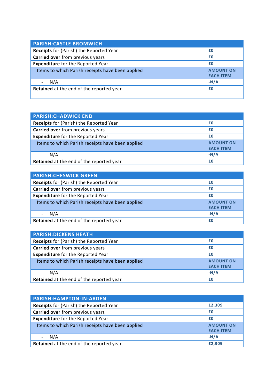| <b>PARISH: CASTLE BROMWICH</b>                   |                                      |
|--------------------------------------------------|--------------------------------------|
| Receipts for (Parish) the Reported Year          | £0                                   |
| Carried over from previous years                 | £0                                   |
| <b>Expenditure</b> for the Reported Year         | £0                                   |
| Items to which Parish receipts have been applied | <b>AMOUNT ON</b><br><b>EACH ITEM</b> |
| N/A                                              | $-N/A$                               |
| Retained at the end of the reported year         | £0                                   |
|                                                  |                                      |

| <b>PARISH: CHADWICK END</b>                      |                                      |
|--------------------------------------------------|--------------------------------------|
| Receipts for (Parish) the Reported Year          | £0                                   |
| Carried over from previous years                 | £0                                   |
| <b>Expenditure</b> for the Reported Year         | £0                                   |
| Items to which Parish receipts have been applied | <b>AMOUNT ON</b><br><b>EACH ITEM</b> |
| N/A                                              | $-N/A$                               |
| Retained at the end of the reported year         | £0                                   |

| <b>PARISH: CHESWICK GREEN</b>                    |                  |
|--------------------------------------------------|------------------|
| Receipts for (Parish) the Reported Year          | £0               |
| Carried over from previous years                 | £0               |
| <b>Expenditure</b> for the Reported Year         | £0               |
| Items to which Parish receipts have been applied | <b>AMOUNT ON</b> |
|                                                  | <b>EACH ITEM</b> |
| N/A                                              | $-N/A$           |
| Retained at the end of the reported year         | £0               |

| <b>PARISH: DICKENS HEATH</b>                     |                  |
|--------------------------------------------------|------------------|
| Receipts for (Parish) the Reported Year          | £0               |
| Carried over from previous years                 | £0               |
| <b>Expenditure</b> for the Reported Year         | £0               |
| Items to which Parish receipts have been applied | <b>AMOUNT ON</b> |
|                                                  | <b>EACH ITEM</b> |
| N/A                                              | $-N/A$           |
| Retained at the end of the reported year         | £Ο               |

| <b>PARISH:HAMPTON-IN-ARDEN</b>                   |                  |
|--------------------------------------------------|------------------|
| Receipts for (Parish) the Reported Year          | £2,309           |
| Carried over from previous years                 | £0               |
| <b>Expenditure</b> for the Reported Year         | £0               |
| Items to which Parish receipts have been applied | <b>AMOUNT ON</b> |
|                                                  | <b>EACH ITEM</b> |
| N/A                                              | $-N/A$           |
| Retained at the end of the reported year         | £2,309           |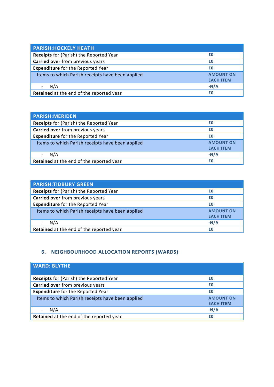| <b>PARISH: HOCKELY HEATH</b>                     |                                      |
|--------------------------------------------------|--------------------------------------|
| Receipts for (Parish) the Reported Year          | £0                                   |
| Carried over from previous years                 | £0                                   |
| <b>Expenditure</b> for the Reported Year         | £0                                   |
| Items to which Parish receipts have been applied | <b>AMOUNT ON</b><br><b>EACH ITEM</b> |
| N/A                                              | $-N/A$                               |
| Retained at the end of the reported year         | £0                                   |

| <b>PARISH: MERIDEN</b>                           |                                      |
|--------------------------------------------------|--------------------------------------|
| Receipts for (Parish) the Reported Year          | £0                                   |
| Carried over from previous years                 | £0                                   |
| <b>Expenditure</b> for the Reported Year         | £0                                   |
| Items to which Parish receipts have been applied | <b>AMOUNT ON</b><br><b>EACH ITEM</b> |
| N/A                                              | $-N/A$                               |
| Retained at the end of the reported year         | £0                                   |

| <b>PARISH:TIDBURY GREEN</b>                      |                  |
|--------------------------------------------------|------------------|
| Receipts for (Parish) the Reported Year          | £0               |
| Carried over from previous years                 | £0               |
| <b>Expenditure</b> for the Reported Year         | £0               |
| Items to which Parish receipts have been applied | <b>AMOUNT ON</b> |
|                                                  | <b>EACH ITEM</b> |
| N/A                                              | $-N/A$           |
| Retained at the end of the reported year         | £0               |

#### **6. NEIGHBOURHOOD ALLOCATION REPORTS (WARDS)**

| <b>WARD: BLYTHE</b>                              |                                      |
|--------------------------------------------------|--------------------------------------|
| <b>Receipts</b> for (Parish) the Reported Year   | £0                                   |
| Carried over from previous years                 | £0                                   |
| <b>Expenditure</b> for the Reported Year         | £0                                   |
| Items to which Parish receipts have been applied | <b>AMOUNT ON</b><br><b>EACH ITEM</b> |
| N/A                                              | $-N/A$                               |
| Retained at the end of the reported year         | £0                                   |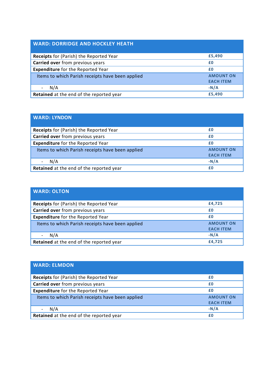#### **WARD: DORRIDGE AND HOCKLEY HEATH**

| <b>Receipts</b> for (Parish) the Reported Year   | £5,490           |
|--------------------------------------------------|------------------|
| Carried over from previous years                 | £0               |
| <b>Expenditure</b> for the Reported Year         | £0               |
| Items to which Parish receipts have been applied | <b>AMOUNT ON</b> |
|                                                  | <b>EACH ITEM</b> |
| N/A                                              | $-N/A$           |
| Retained at the end of the reported year         | £5,490           |

| <b>WARD: LYNDON</b>                              |                                      |
|--------------------------------------------------|--------------------------------------|
| <b>Receipts</b> for (Parish) the Reported Year   | £0                                   |
| Carried over from previous years                 | £0                                   |
| <b>Expenditure</b> for the Reported Year         | £0                                   |
| Items to which Parish receipts have been applied | <b>AMOUNT ON</b><br><b>EACH ITEM</b> |
| N/A                                              | $-N/A$                               |
| Retained at the end of the reported year         | £0                                   |

| <b>WARD: OLTON</b>                               |                  |
|--------------------------------------------------|------------------|
| <b>Receipts</b> for (Parish) the Reported Year   | £4,725           |
| Carried over from previous years                 | £0               |
| <b>Expenditure</b> for the Reported Year         | £0               |
| Items to which Parish receipts have been applied | <b>AMOUNT ON</b> |
|                                                  | <b>EACH ITEM</b> |
| N/A                                              | $-N/A$           |
| Retained at the end of the reported year         | £4,725           |

| <b>WARD: ELMDON,</b>                             |                                      |
|--------------------------------------------------|--------------------------------------|
| <b>Receipts</b> for (Parish) the Reported Year   | £0                                   |
| Carried over from previous years                 | £0                                   |
| <b>Expenditure</b> for the Reported Year         | £0                                   |
| Items to which Parish receipts have been applied | <b>AMOUNT ON</b><br><b>EACH ITEM</b> |
| N/A                                              | $-N/A$                               |
| Retained at the end of the reported year         | £0                                   |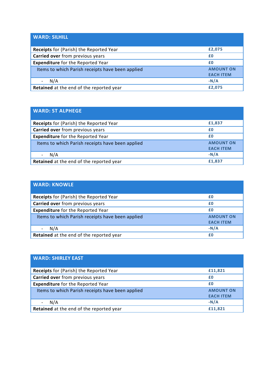| <b>WARD: SILHILL</b>                             |                                      |
|--------------------------------------------------|--------------------------------------|
| <b>Receipts</b> for (Parish) the Reported Year   | £2,075                               |
| Carried over from previous years                 | £0                                   |
| <b>Expenditure</b> for the Reported Year         | £0                                   |
| Items to which Parish receipts have been applied | <b>AMOUNT ON</b><br><b>EACH ITEM</b> |
| N/A                                              | $-N/A$                               |
| Retained at the end of the reported year         | £2,075                               |

| <b>WARD: ST ALPHEGE</b>                          |                                      |
|--------------------------------------------------|--------------------------------------|
| Receipts for (Parish) the Reported Year          | £1,837                               |
| Carried over from previous years                 | £0                                   |
| <b>Expenditure</b> for the Reported Year         | £0                                   |
| Items to which Parish receipts have been applied | <b>AMOUNT ON</b><br><b>EACH ITEM</b> |
| N/A                                              | $-N/A$                               |
| Retained at the end of the reported year         | £1,837                               |

| <b>WARD: KNOWLE</b>                              |                  |
|--------------------------------------------------|------------------|
| Receipts for (Parish) the Reported Year          | £0               |
| Carried over from previous years                 | £0               |
| <b>Expenditure</b> for the Reported Year         | £0               |
| Items to which Parish receipts have been applied | <b>AMOUNT ON</b> |
|                                                  | <b>EACH ITEM</b> |
| N/A                                              | $-N/A$           |
| Retained at the end of the reported year         | £0               |

| <b>WARD: SHIRLEY EAST</b>                        |                                      |
|--------------------------------------------------|--------------------------------------|
| Receipts for (Parish) the Reported Year          | £11,821                              |
| Carried over from previous years                 | £0                                   |
| <b>Expenditure</b> for the Reported Year         | £0                                   |
| Items to which Parish receipts have been applied | <b>AMOUNT ON</b><br><b>EACH ITEM</b> |
| N/A                                              | $-N/A$                               |
| Retained at the end of the reported year         | £11,821                              |